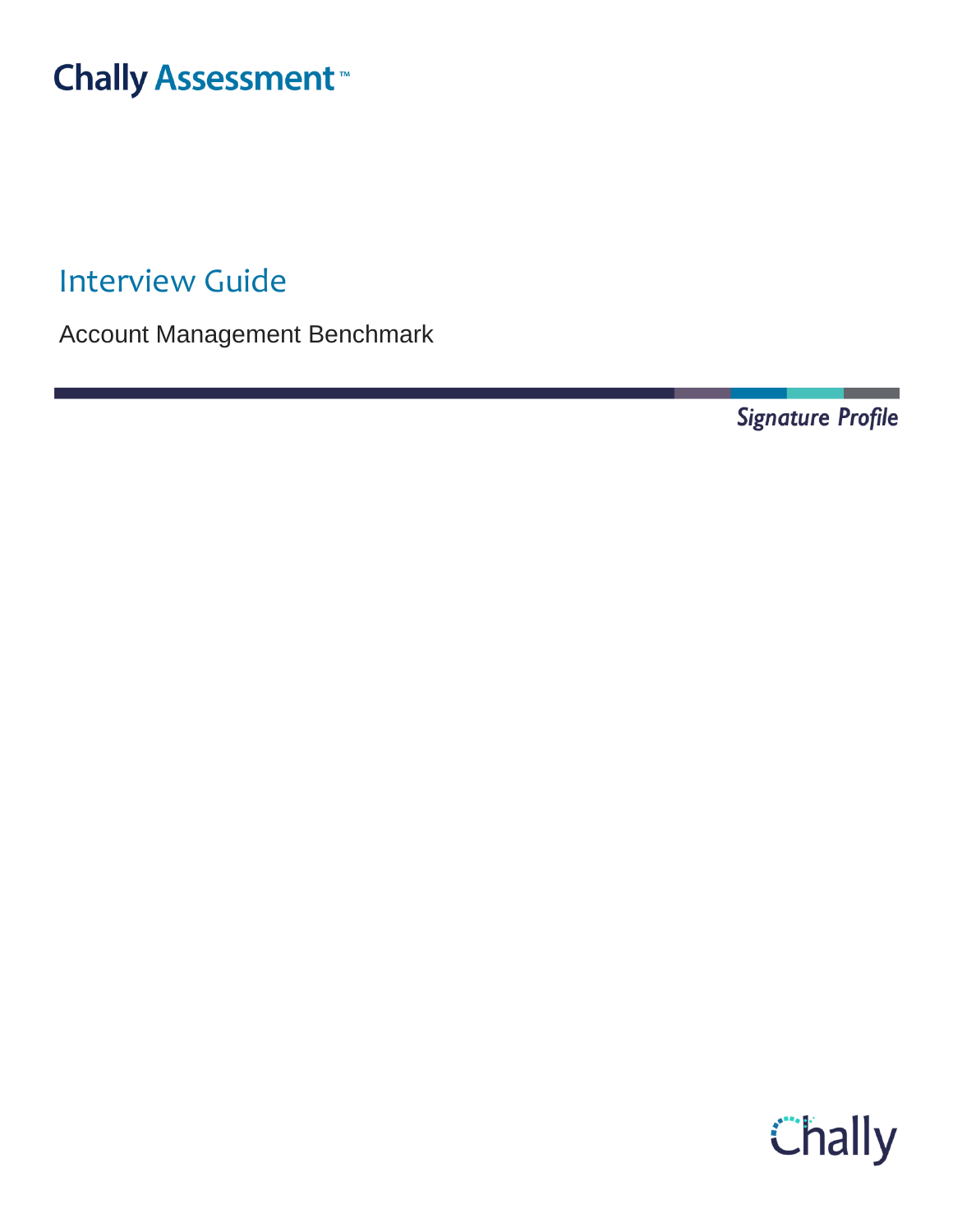# **Chally Assessment**

Interview Guide

Account Management Benchmark

Signature Profile

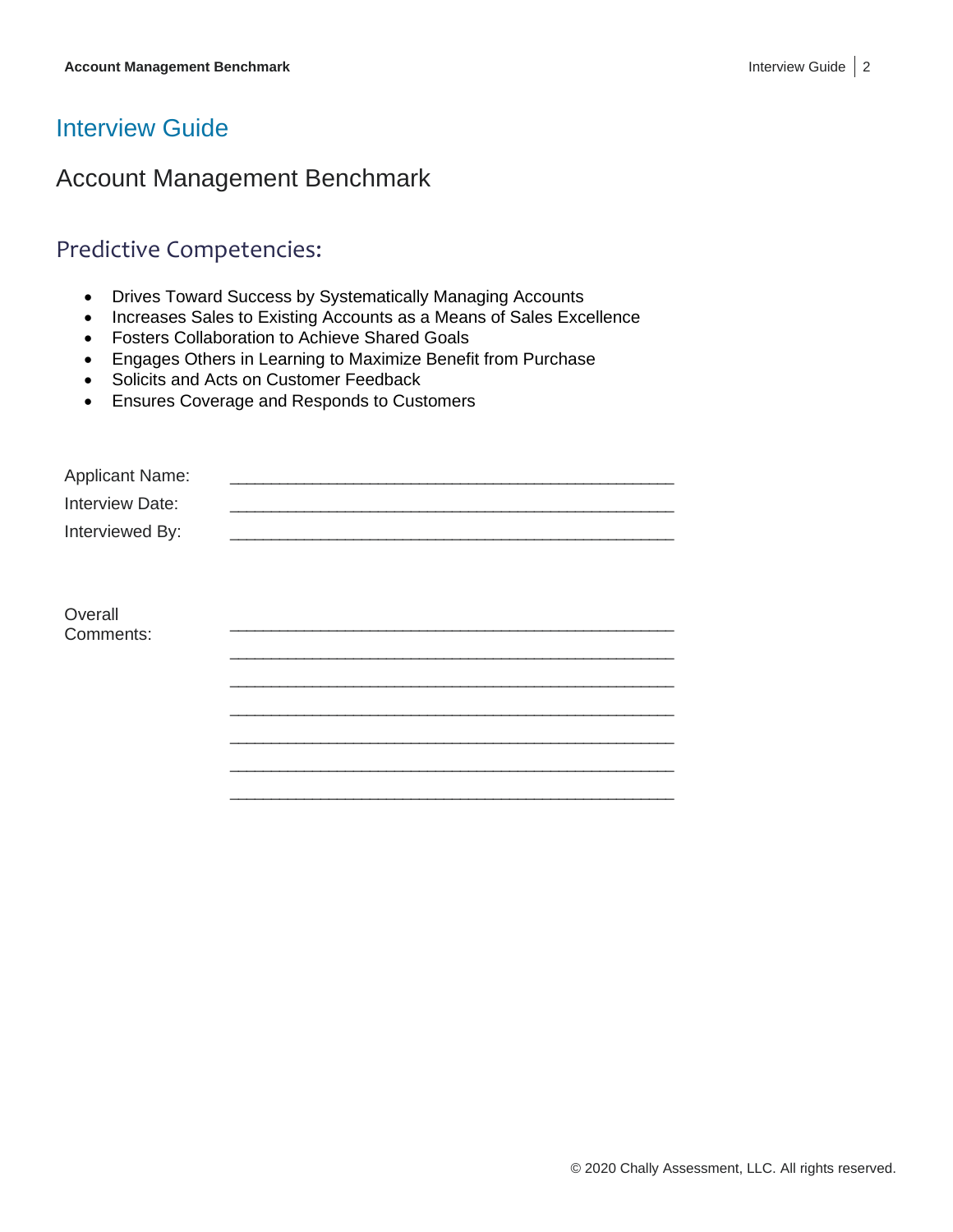### Interview Guide

### Account Management Benchmark

#### Predictive Competencies:

- Drives Toward Success by Systematically Managing Accounts
- Increases Sales to Existing Accounts as a Means of Sales Excellence
- Fosters Collaboration to Achieve Shared Goals
- Engages Others in Learning to Maximize Benefit from Purchase
- Solicits and Acts on Customer Feedback
- Ensures Coverage and Responds to Customers

| <b>Applicant Name:</b> |  |
|------------------------|--|
| Interview Date:        |  |
| Interviewed By:        |  |
|                        |  |
|                        |  |
| Overall                |  |
| Comments:              |  |
|                        |  |
|                        |  |
|                        |  |
|                        |  |
|                        |  |
|                        |  |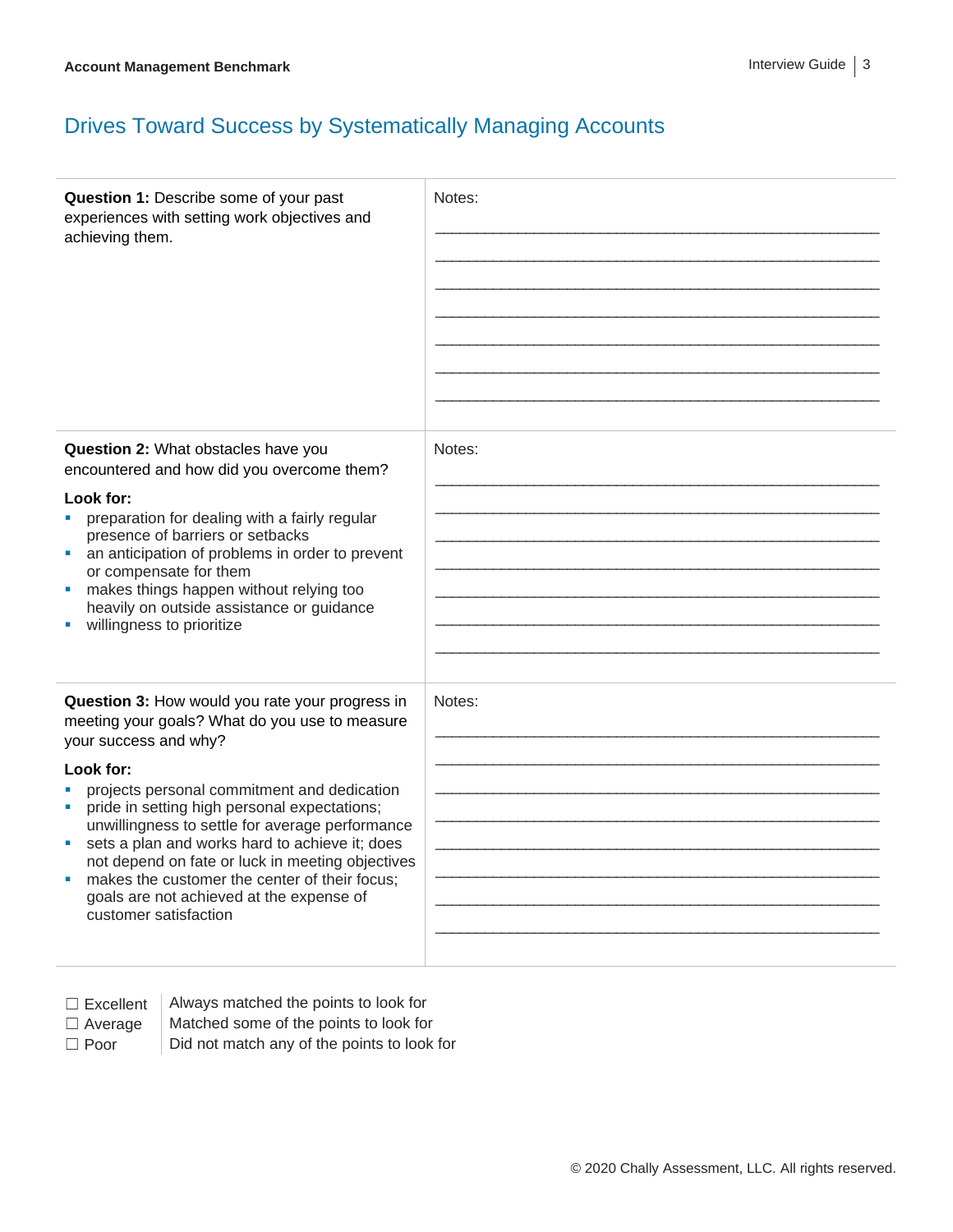# Drives Toward Success by Systematically Managing Accounts

| Question 1: Describe some of your past<br>experiences with setting work objectives and<br>achieving them.                                                                                                                                                                                                                                                                                                                                                                                                                  | Notes: |
|----------------------------------------------------------------------------------------------------------------------------------------------------------------------------------------------------------------------------------------------------------------------------------------------------------------------------------------------------------------------------------------------------------------------------------------------------------------------------------------------------------------------------|--------|
| Question 2: What obstacles have you<br>encountered and how did you overcome them?<br>Look for:<br>preparation for dealing with a fairly regular<br>presence of barriers or setbacks<br>an anticipation of problems in order to prevent<br>×<br>or compensate for them<br>makes things happen without relying too<br>heavily on outside assistance or quidance<br>willingness to prioritize                                                                                                                                 | Notes: |
| Question 3: How would you rate your progress in<br>meeting your goals? What do you use to measure<br>your success and why?<br>Look for:<br>projects personal commitment and dedication<br>pride in setting high personal expectations;<br>ш<br>unwillingness to settle for average performance<br>sets a plan and works hard to achieve it; does<br>not depend on fate or luck in meeting objectives<br>makes the customer the center of their focus;<br>goals are not achieved at the expense of<br>customer satisfaction | Notes: |

- □ Excellent | Always matched the points to look for
	-
- 

 $\Box$  Average  $\parallel$  Matched some of the points to look for  $\Box$  Poor  $\Box$  Did not match any of the points to look for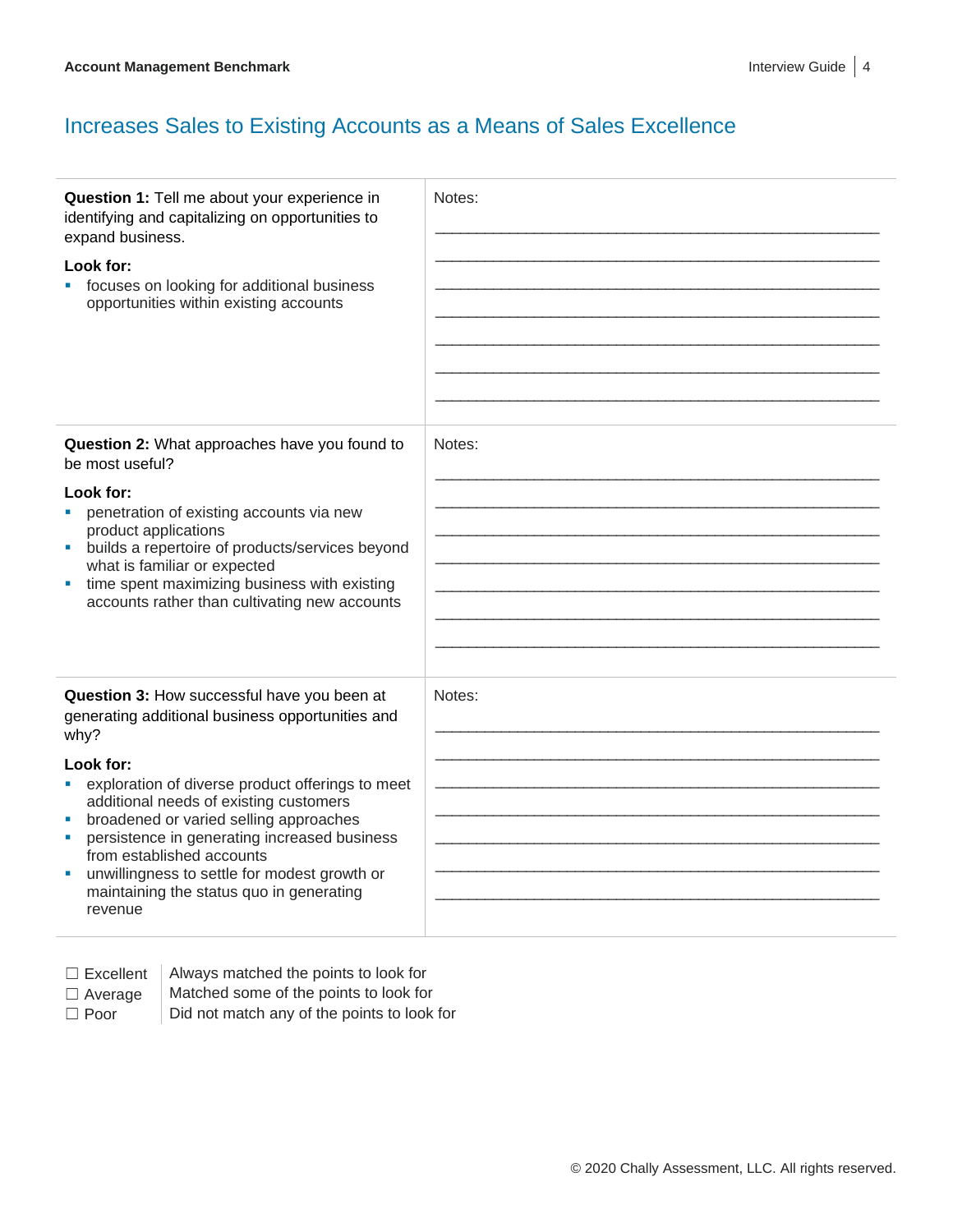#### Increases Sales to Existing Accounts as a Means of Sales Excellence

| Question 1: Tell me about your experience in<br>identifying and capitalizing on opportunities to<br>expand business.<br>Look for:<br>focuses on looking for additional business<br>opportunities within existing accounts                                                                                                                                                                                                                                  | Notes: |
|------------------------------------------------------------------------------------------------------------------------------------------------------------------------------------------------------------------------------------------------------------------------------------------------------------------------------------------------------------------------------------------------------------------------------------------------------------|--------|
| Question 2: What approaches have you found to<br>be most useful?<br>Look for:<br>penetration of existing accounts via new<br>product applications<br>builds a repertoire of products/services beyond<br>M.<br>what is familiar or expected<br>time spent maximizing business with existing<br>accounts rather than cultivating new accounts                                                                                                                | Notes: |
| Question 3: How successful have you been at<br>generating additional business opportunities and<br>why?<br>Look for:<br>exploration of diverse product offerings to meet<br>additional needs of existing customers<br>broadened or varied selling approaches<br>ш<br>persistence in generating increased business<br>from established accounts<br>unwillingness to settle for modest growth or<br>ш<br>maintaining the status quo in generating<br>revenue | Notes: |

- 
- $\Box$  Excellent | Always matched the points to look for
- 
- □ Average | Matched some of the points to look for
- $\Box$  Poor  $\Box$  Did not match any of the points to look for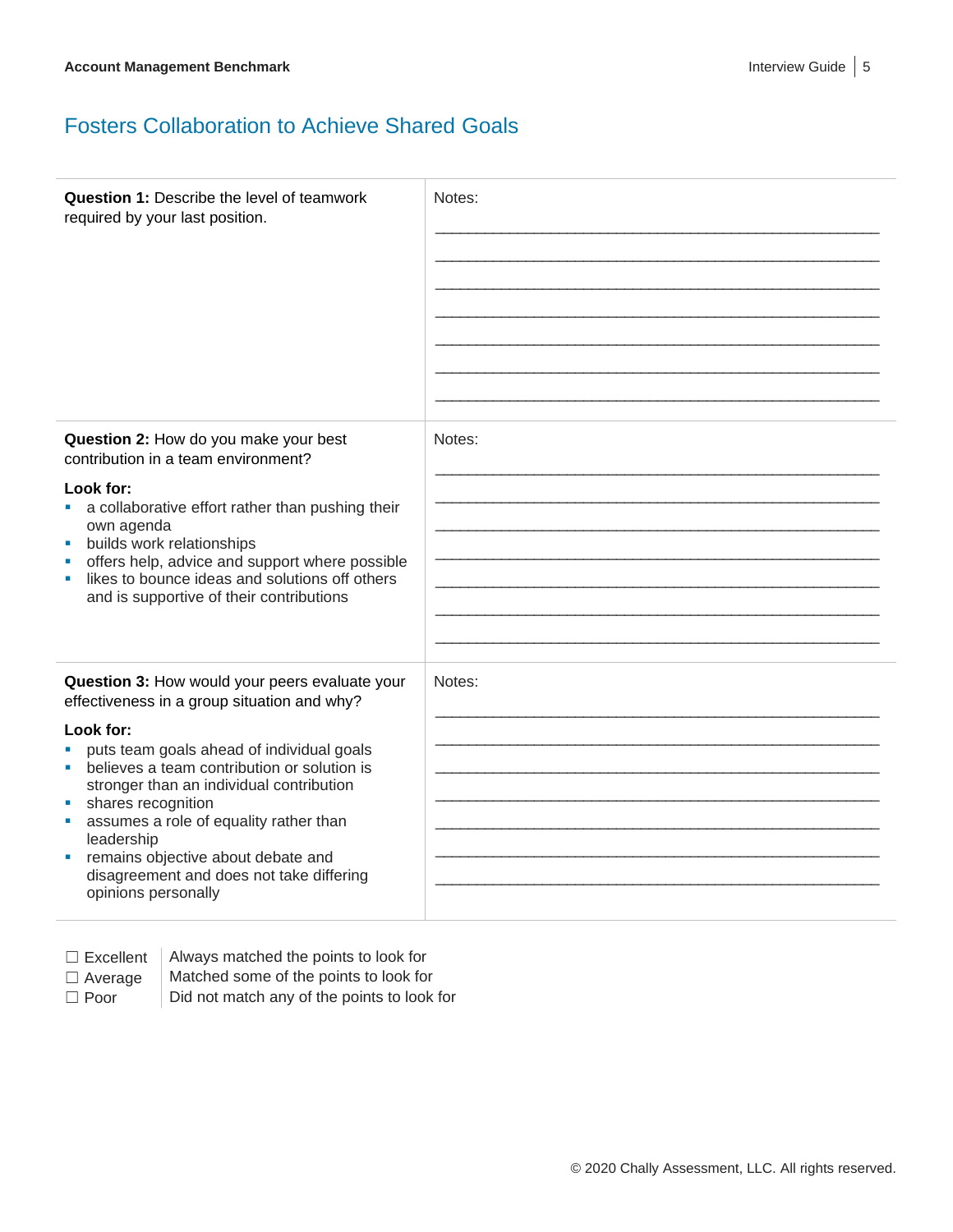### Fosters Collaboration to Achieve Shared Goals

| <b>Question 1: Describe the level of teamwork</b><br>required by your last position.                                                                                                                                                                                                                                                                         | Notes: |
|--------------------------------------------------------------------------------------------------------------------------------------------------------------------------------------------------------------------------------------------------------------------------------------------------------------------------------------------------------------|--------|
| Question 2: How do you make your best<br>contribution in a team environment?                                                                                                                                                                                                                                                                                 | Notes: |
| Look for:<br>a collaborative effort rather than pushing their<br><b>College</b><br>own agenda<br>builds work relationships<br>×<br>offers help, advice and support where possible<br>likes to bounce ideas and solutions off others<br>ш<br>and is supportive of their contributions                                                                         |        |
| Question 3: How would your peers evaluate your<br>effectiveness in a group situation and why?                                                                                                                                                                                                                                                                | Notes: |
| Look for:<br>puts team goals ahead of individual goals<br>believes a team contribution or solution is<br>٠<br>stronger than an individual contribution<br>shares recognition<br>ш<br>assumes a role of equality rather than<br>×<br>leadership<br>remains objective about debate and<br>ш<br>disagreement and does not take differing<br>opinions personally |        |

 $\Box$  Excellent | Always matched the points to look for

- $\Box$  Average  $\parallel$  Matched some of the points to look for
- 

 $\Box$  Poor  $\Box$  Did not match any of the points to look for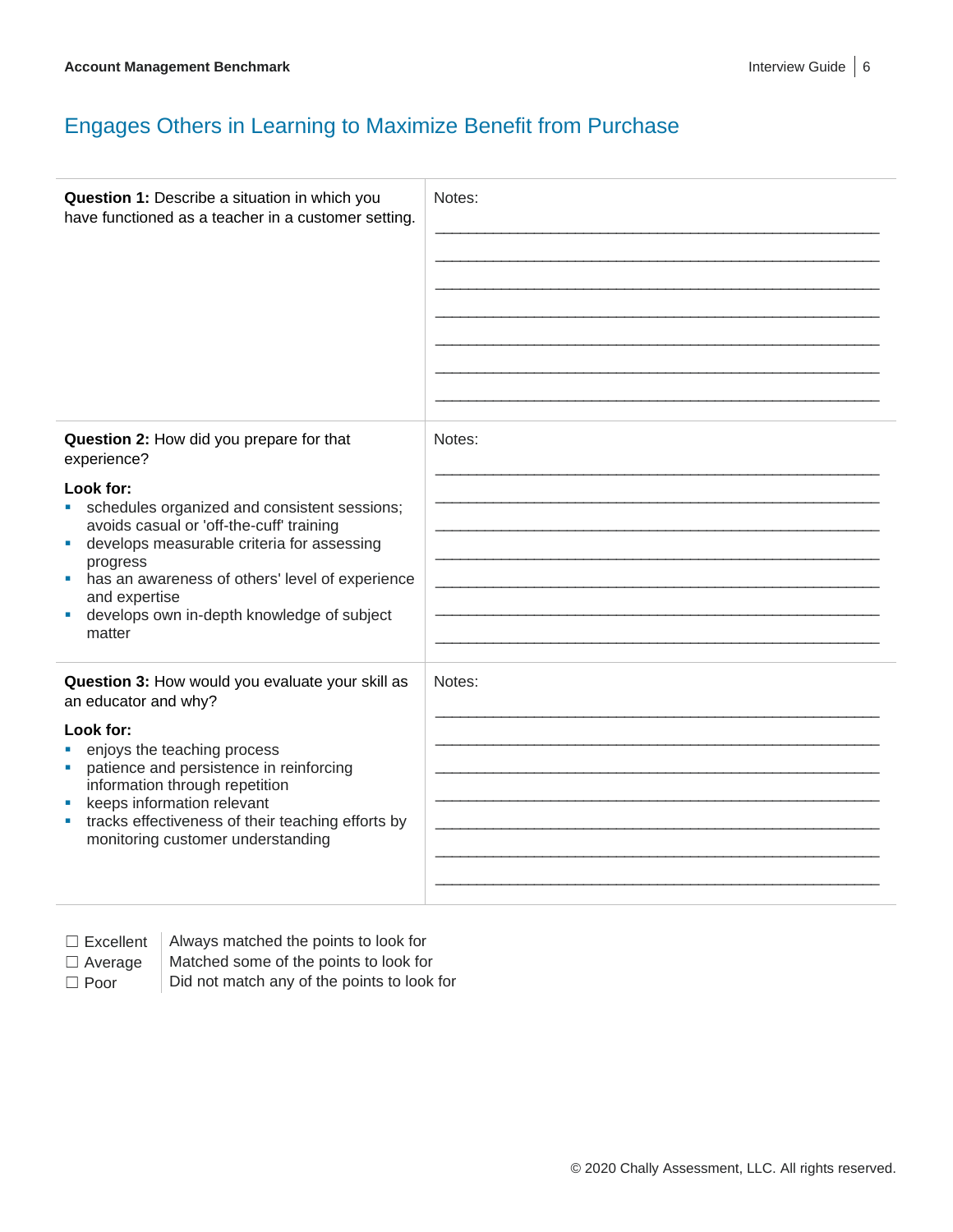# Engages Others in Learning to Maximize Benefit from Purchase

| Question 1: Describe a situation in which you<br>have functioned as a teacher in a customer setting.                                                                                                                                                                                                                                                                   | Notes: |
|------------------------------------------------------------------------------------------------------------------------------------------------------------------------------------------------------------------------------------------------------------------------------------------------------------------------------------------------------------------------|--------|
| Question 2: How did you prepare for that<br>experience?<br>Look for:<br>schedules organized and consistent sessions;<br>ш<br>avoids casual or 'off-the-cuff' training<br>develops measurable criteria for assessing<br>ш<br>progress<br>has an awareness of others' level of experience<br>and expertise<br>develops own in-depth knowledge of subject<br>m,<br>matter | Notes: |
| Question 3: How would you evaluate your skill as<br>an educator and why?<br>Look for:<br>enjoys the teaching process<br>patience and persistence in reinforcing<br>a,<br>information through repetition<br>keeps information relevant<br>tracks effectiveness of their teaching efforts by<br>monitoring customer understanding                                        | Notes: |

 $\Box$  Excellent  $\parallel$  Always matched the points to look for

- $\Box$  Average  $\parallel$  Matched some of the points to look for
- 
- $\Box$  Poor  $\Box$  Did not match any of the points to look for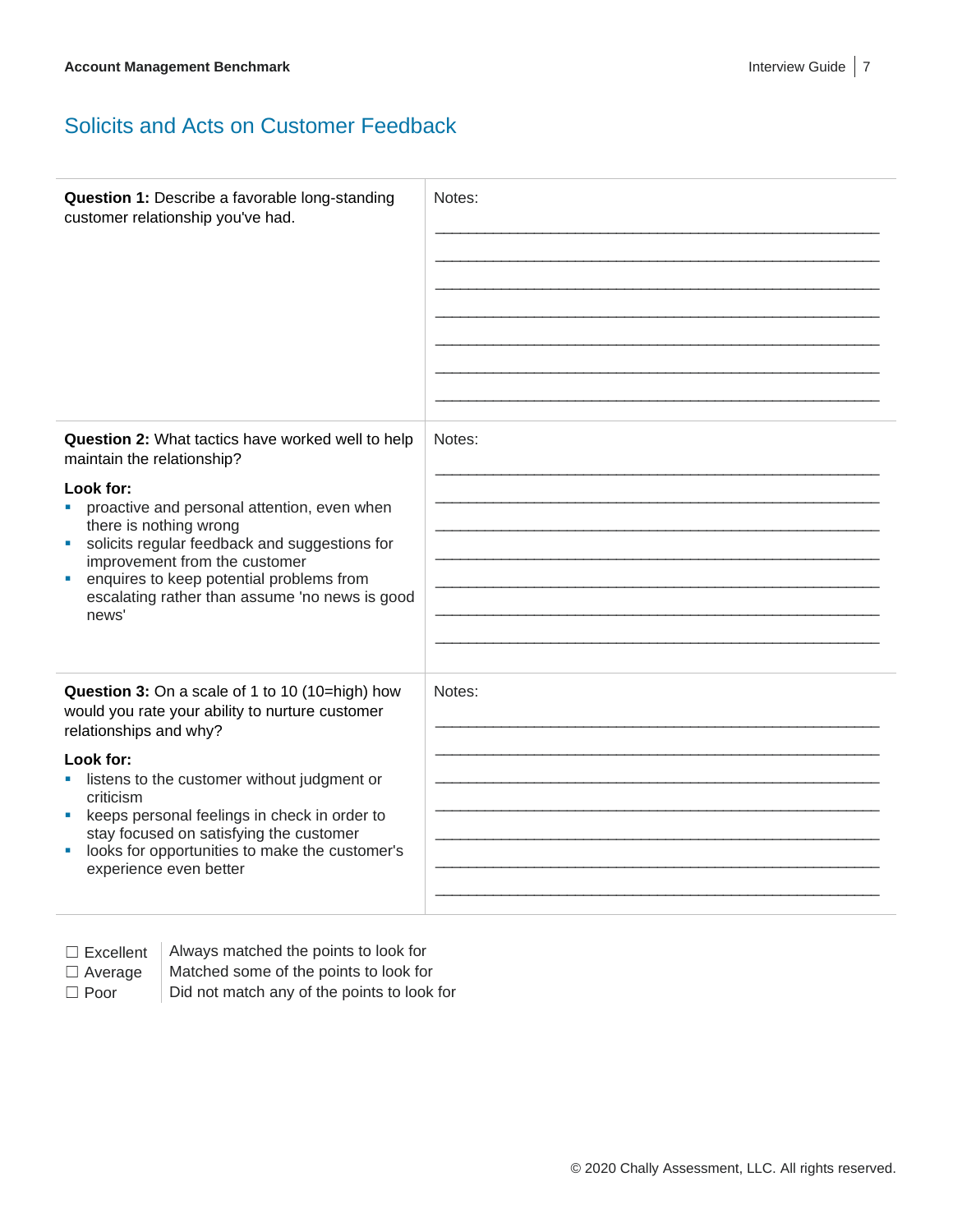#### Solicits and Acts on Customer Feedback

| Question 1: Describe a favorable long-standing<br>customer relationship you've had.                                                                                                                                                                                                                                                                                                                              | Notes: |
|------------------------------------------------------------------------------------------------------------------------------------------------------------------------------------------------------------------------------------------------------------------------------------------------------------------------------------------------------------------------------------------------------------------|--------|
| Question 2: What tactics have worked well to help<br>maintain the relationship?<br>Look for:<br>• proactive and personal attention, even when<br>there is nothing wrong<br>solicits regular feedback and suggestions for<br>a.<br>improvement from the customer<br>enquires to keep potential problems from<br>$\blacksquare$<br>escalating rather than assume 'no news is good<br>news'                         | Notes: |
| Question 3: On a scale of 1 to 10 (10=high) how<br>would you rate your ability to nurture customer<br>relationships and why?<br>Look for:<br>listens to the customer without judgment or<br>criticism<br>keeps personal feelings in check in order to<br>$\mathcal{L}_{\mathcal{A}}$<br>stay focused on satisfying the customer<br>looks for opportunities to make the customer's<br>ш<br>experience even better | Notes: |

 $\Box$  Excellent  $\parallel$  Always matched the points to look for  $\Box$  Average  $\parallel$  Matched some of the points to look for

 $\Box$  Poor  $\Box$  Did not match any of the points to look for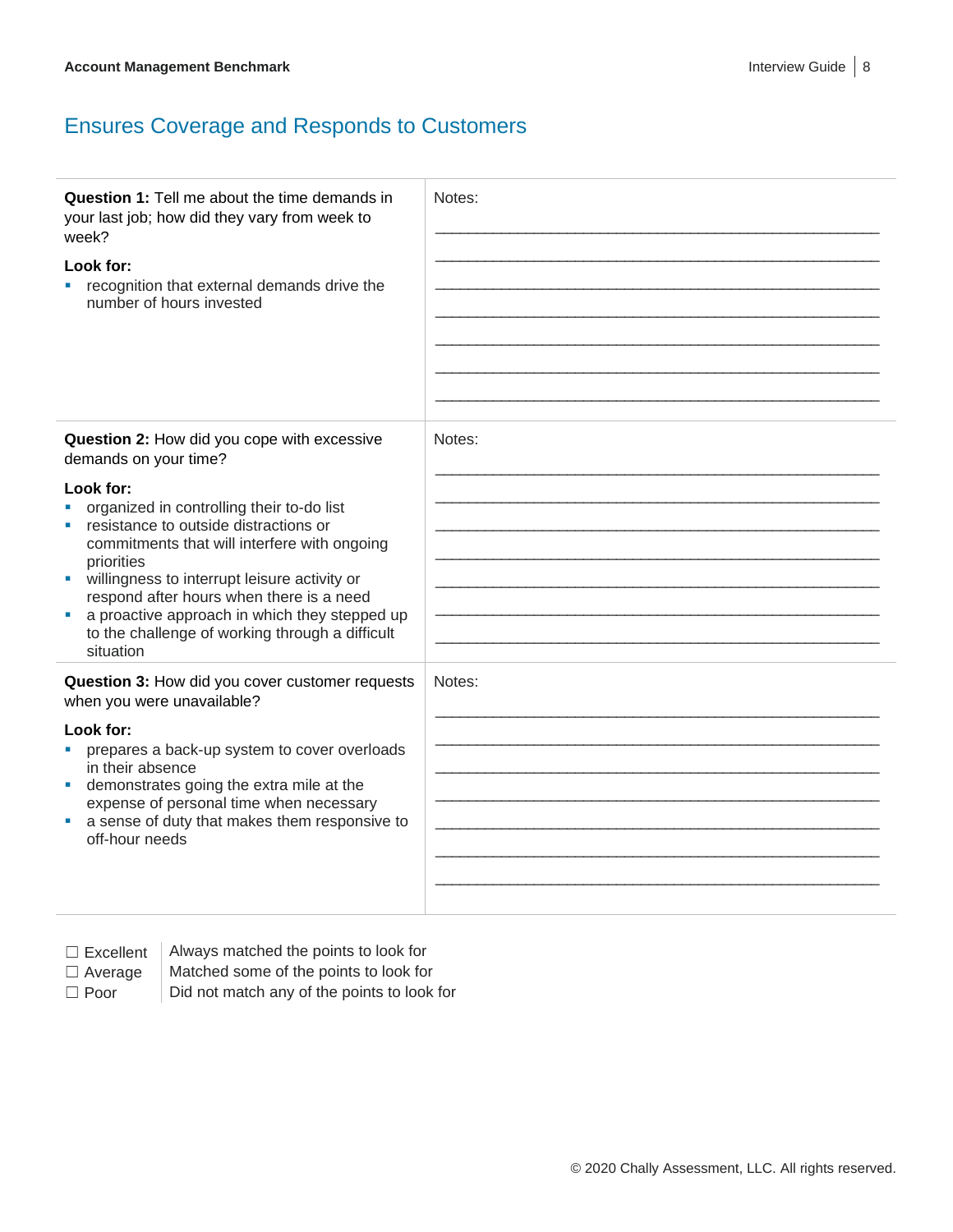# Ensures Coverage and Responds to Customers

| <b>Question 1:</b> Tell me about the time demands in<br>your last job; how did they vary from week to<br>week?<br>Look for:<br>recognition that external demands drive the<br>number of hours invested                                                                                                                                                                     | Notes: |
|----------------------------------------------------------------------------------------------------------------------------------------------------------------------------------------------------------------------------------------------------------------------------------------------------------------------------------------------------------------------------|--------|
| Question 2: How did you cope with excessive<br>demands on your time?                                                                                                                                                                                                                                                                                                       | Notes: |
| Look for:<br>organized in controlling their to-do list<br>resistance to outside distractions or<br>commitments that will interfere with ongoing<br>priorities<br>willingness to interrupt leisure activity or<br>respond after hours when there is a need<br>a proactive approach in which they stepped up<br>to the challenge of working through a difficult<br>situation |        |
| Question 3: How did you cover customer requests<br>when you were unavailable?                                                                                                                                                                                                                                                                                              | Notes: |
| Look for:<br>prepares a back-up system to cover overloads<br>in their absence<br>demonstrates going the extra mile at the<br>expense of personal time when necessary<br>a sense of duty that makes them responsive to<br>off-hour needs                                                                                                                                    |        |

 $\Box$  Excellent  $\parallel$  Always matched the points to look for

 $\Box$  Average  $\parallel$  Matched some of the points to look for

 $\Box$  Poor  $\Box$  Did not match any of the points to look for